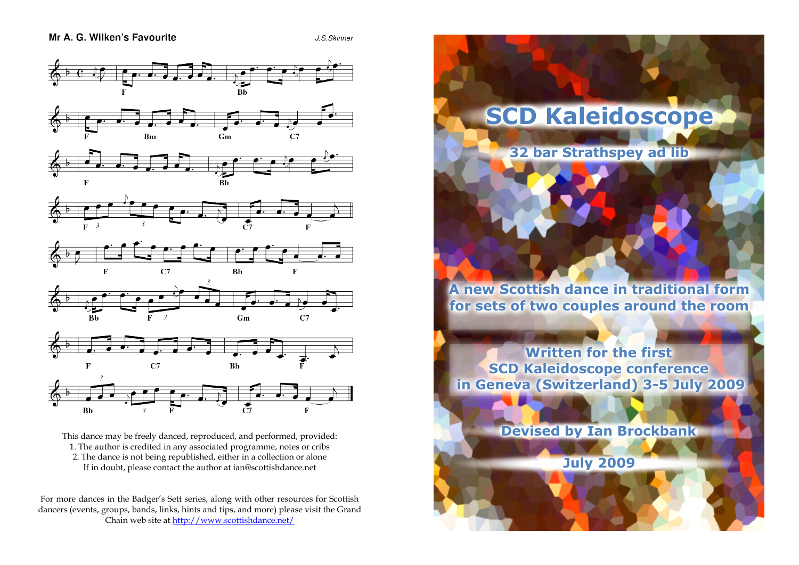J.S. Skinner



This dance may be freely danced, reproduced, and performed, provided: 1. The author is credited in any associated programme, notes or cribs 2. The dance is not being republished, either in a collection or alone If in doubt, please contact the author at ian@scottishdance.net

For more dances in the Badger's Sett series, along with other resources for Scottish dancers (events, groups, bands, links, hints and tips, and more) please visit the Grand Chain web site at [http://www.scottishdance.net/](http://www.scottishdance.net/dances/)